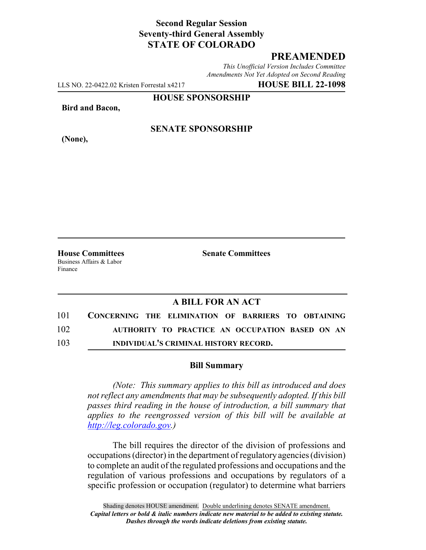# **Second Regular Session Seventy-third General Assembly STATE OF COLORADO**

# **PREAMENDED**

*This Unofficial Version Includes Committee Amendments Not Yet Adopted on Second Reading*

LLS NO. 22-0422.02 Kristen Forrestal x4217 **HOUSE BILL 22-1098**

**HOUSE SPONSORSHIP**

**Bird and Bacon,**

**(None),**

### **SENATE SPONSORSHIP**

Business Affairs & Labor Finance

**House Committees Senate Committees**

### **A BILL FOR AN ACT**

| 101 | CONCERNING THE ELIMINATION OF BARRIERS TO OBTAINING |
|-----|-----------------------------------------------------|
| 102 | AUTHORITY TO PRACTICE AN OCCUPATION BASED ON AN     |
| 103 | INDIVIDUAL'S CRIMINAL HISTORY RECORD.               |

#### **Bill Summary**

*(Note: This summary applies to this bill as introduced and does not reflect any amendments that may be subsequently adopted. If this bill passes third reading in the house of introduction, a bill summary that applies to the reengrossed version of this bill will be available at http://leg.colorado.gov.)*

The bill requires the director of the division of professions and occupations (director) in the department of regulatory agencies (division) to complete an audit of the regulated professions and occupations and the regulation of various professions and occupations by regulators of a specific profession or occupation (regulator) to determine what barriers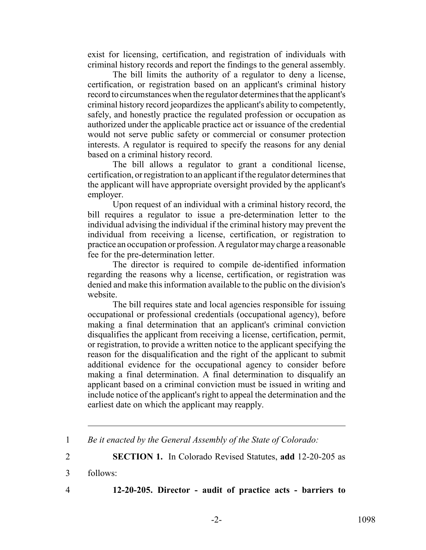exist for licensing, certification, and registration of individuals with criminal history records and report the findings to the general assembly.

The bill limits the authority of a regulator to deny a license, certification, or registration based on an applicant's criminal history record to circumstances when the regulator determines that the applicant's criminal history record jeopardizes the applicant's ability to competently, safely, and honestly practice the regulated profession or occupation as authorized under the applicable practice act or issuance of the credential would not serve public safety or commercial or consumer protection interests. A regulator is required to specify the reasons for any denial based on a criminal history record.

The bill allows a regulator to grant a conditional license, certification, or registration to an applicant if the regulator determines that the applicant will have appropriate oversight provided by the applicant's employer.

Upon request of an individual with a criminal history record, the bill requires a regulator to issue a pre-determination letter to the individual advising the individual if the criminal history may prevent the individual from receiving a license, certification, or registration to practice an occupation or profession. A regulator may charge a reasonable fee for the pre-determination letter.

The director is required to compile de-identified information regarding the reasons why a license, certification, or registration was denied and make this information available to the public on the division's website.

The bill requires state and local agencies responsible for issuing occupational or professional credentials (occupational agency), before making a final determination that an applicant's criminal conviction disqualifies the applicant from receiving a license, certification, permit, or registration, to provide a written notice to the applicant specifying the reason for the disqualification and the right of the applicant to submit additional evidence for the occupational agency to consider before making a final determination. A final determination to disqualify an applicant based on a criminal conviction must be issued in writing and include notice of the applicant's right to appeal the determination and the earliest date on which the applicant may reapply.

2 **SECTION 1.** In Colorado Revised Statutes, **add** 12-20-205 as

3 follows:

4 **12-20-205. Director - audit of practice acts - barriers to**

<sup>1</sup> *Be it enacted by the General Assembly of the State of Colorado:*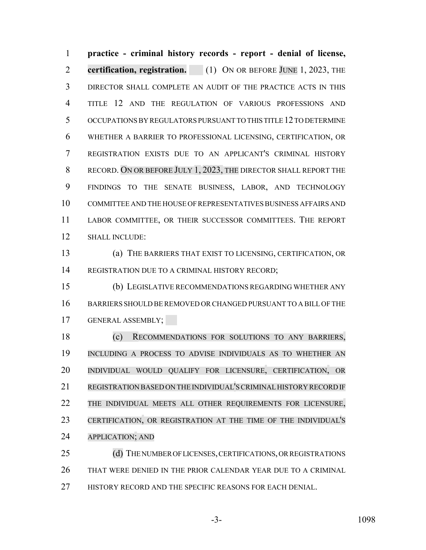**practice - criminal history records - report - denial of license, certification, registration.** (1) ON OR BEFORE JUNE 1, 2023, THE DIRECTOR SHALL COMPLETE AN AUDIT OF THE PRACTICE ACTS IN THIS TITLE 12 AND THE REGULATION OF VARIOUS PROFESSIONS AND OCCUPATIONS BY REGULATORS PURSUANT TO THIS TITLE 12 TO DETERMINE WHETHER A BARRIER TO PROFESSIONAL LICENSING, CERTIFICATION, OR REGISTRATION EXISTS DUE TO AN APPLICANT'S CRIMINAL HISTORY RECORD. ON OR BEFORE JULY 1, 2023, THE DIRECTOR SHALL REPORT THE FINDINGS TO THE SENATE BUSINESS, LABOR, AND TECHNOLOGY COMMITTEE AND THE HOUSE OF REPRESENTATIVES BUSINESS AFFAIRS AND LABOR COMMITTEE, OR THEIR SUCCESSOR COMMITTEES. THE REPORT SHALL INCLUDE:

 (a) THE BARRIERS THAT EXIST TO LICENSING, CERTIFICATION, OR REGISTRATION DUE TO A CRIMINAL HISTORY RECORD;

 (b) LEGISLATIVE RECOMMENDATIONS REGARDING WHETHER ANY BARRIERS SHOULD BE REMOVED OR CHANGED PURSUANT TO A BILL OF THE GENERAL ASSEMBLY;

 (c) RECOMMENDATIONS FOR SOLUTIONS TO ANY BARRIERS, INCLUDING A PROCESS TO ADVISE INDIVIDUALS AS TO WHETHER AN INDIVIDUAL WOULD QUALIFY FOR LICENSURE, CERTIFICATION, OR REGISTRATION BASED ON THE INDIVIDUAL'SCRIMINALHISTORY RECORD IF THE INDIVIDUAL MEETS ALL OTHER REQUIREMENTS FOR LICENSURE, CERTIFICATION, OR REGISTRATION AT THE TIME OF THE INDIVIDUAL'S APPLICATION; AND

25 (d) THE NUMBER OF LICENSES, CERTIFICATIONS, OR REGISTRATIONS THAT WERE DENIED IN THE PRIOR CALENDAR YEAR DUE TO A CRIMINAL 27 HISTORY RECORD AND THE SPECIFIC REASONS FOR EACH DENIAL.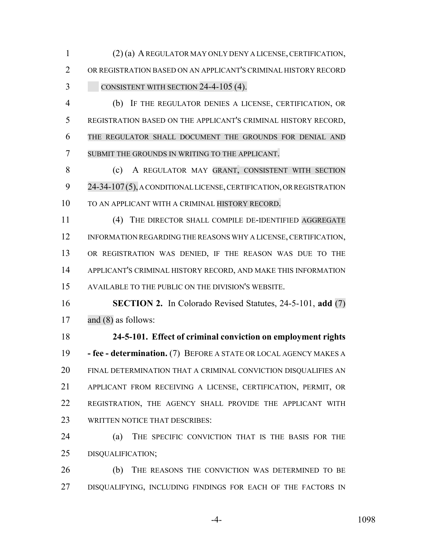(2) (a) A REGULATOR MAY ONLY DENY A LICENSE, CERTIFICATION, OR REGISTRATION BASED ON AN APPLICANT'S CRIMINAL HISTORY RECORD 3 CONSISTENT WITH SECTION 24-4-105 (4).

 (b) IF THE REGULATOR DENIES A LICENSE, CERTIFICATION, OR REGISTRATION BASED ON THE APPLICANT'S CRIMINAL HISTORY RECORD, THE REGULATOR SHALL DOCUMENT THE GROUNDS FOR DENIAL AND SUBMIT THE GROUNDS IN WRITING TO THE APPLICANT.

 (c) A REGULATOR MAY GRANT, CONSISTENT WITH SECTION 24-34-107(5), A CONDITIONAL LICENSE, CERTIFICATION, OR REGISTRATION TO AN APPLICANT WITH A CRIMINAL HISTORY RECORD.

 (4) THE DIRECTOR SHALL COMPILE DE-IDENTIFIED AGGREGATE 12 INFORMATION REGARDING THE REASONS WHY A LICENSE, CERTIFICATION, OR REGISTRATION WAS DENIED, IF THE REASON WAS DUE TO THE APPLICANT'S CRIMINAL HISTORY RECORD, AND MAKE THIS INFORMATION AVAILABLE TO THE PUBLIC ON THE DIVISION'S WEBSITE.

 **SECTION 2.** In Colorado Revised Statutes, 24-5-101, **add** (7) and (8) as follows:

 **24-5-101. Effect of criminal conviction on employment rights - fee - determination.** (7) BEFORE A STATE OR LOCAL AGENCY MAKES A FINAL DETERMINATION THAT A CRIMINAL CONVICTION DISQUALIFIES AN APPLICANT FROM RECEIVING A LICENSE, CERTIFICATION, PERMIT, OR REGISTRATION, THE AGENCY SHALL PROVIDE THE APPLICANT WITH WRITTEN NOTICE THAT DESCRIBES:

 (a) THE SPECIFIC CONVICTION THAT IS THE BASIS FOR THE DISQUALIFICATION;

 (b) THE REASONS THE CONVICTION WAS DETERMINED TO BE 27 DISQUALIFYING, INCLUDING FINDINGS FOR EACH OF THE FACTORS IN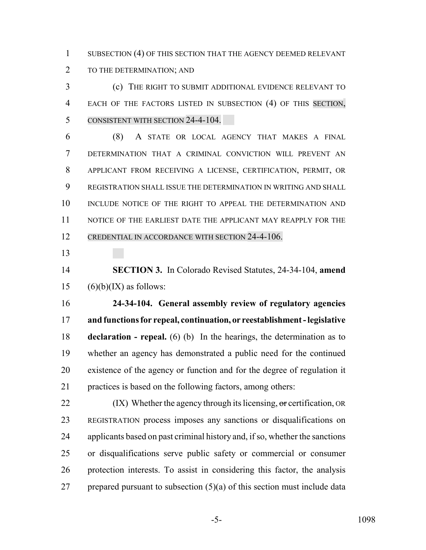1 SUBSECTION (4) OF THIS SECTION THAT THE AGENCY DEEMED RELEVANT TO THE DETERMINATION; AND

 (c) THE RIGHT TO SUBMIT ADDITIONAL EVIDENCE RELEVANT TO EACH OF THE FACTORS LISTED IN SUBSECTION (4) OF THIS SECTION, CONSISTENT WITH SECTION 24-4-104.

 (8) A STATE OR LOCAL AGENCY THAT MAKES A FINAL DETERMINATION THAT A CRIMINAL CONVICTION WILL PREVENT AN APPLICANT FROM RECEIVING A LICENSE, CERTIFICATION, PERMIT, OR REGISTRATION SHALL ISSUE THE DETERMINATION IN WRITING AND SHALL 10 INCLUDE NOTICE OF THE RIGHT TO APPEAL THE DETERMINATION AND 11 NOTICE OF THE EARLIEST DATE THE APPLICANT MAY REAPPLY FOR THE CREDENTIAL IN ACCORDANCE WITH SECTION 24-4-106.

 **SECTION 3.** In Colorado Revised Statutes, 24-34-104, **amend** 15  $(6)(b)(IX)$  as follows:

 **24-34-104. General assembly review of regulatory agencies and functions for repeal, continuation, or reestablishment - legislative declaration - repeal.** (6) (b) In the hearings, the determination as to whether an agency has demonstrated a public need for the continued existence of the agency or function and for the degree of regulation it practices is based on the following factors, among others:

 $(IX)$  Whether the agency through its licensing, or certification, OR REGISTRATION process imposes any sanctions or disqualifications on applicants based on past criminal history and, if so, whether the sanctions or disqualifications serve public safety or commercial or consumer protection interests. To assist in considering this factor, the analysis 27 prepared pursuant to subsection  $(5)(a)$  of this section must include data